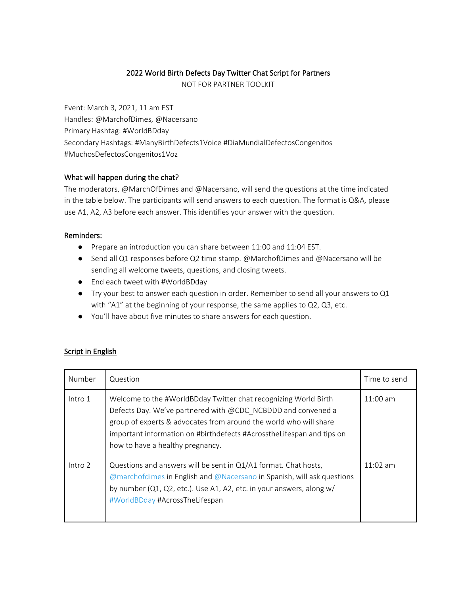## 2022 World Birth Defects Day Twitter Chat Script for Partners

NOT FOR PARTNER TOOLKIT

Event: March 3, 2021, 11 am EST Handles: @MarchofDimes, @Nacersano Primary Hashtag: #WorldBDday Secondary Hashtags: #ManyBirthDefects1Voice #DiaMundialDefectosCongenitos #MuchosDefectosCongenitos1Voz

## What will happen during the chat?

The moderators, @MarchOfDimes and @Nacersano, will send the questions at the time indicated in the table below. The participants will send answers to each question. The format is Q&A, please use A1, A2, A3 before each answer. This identifies your answer with the question.

## Reminders:

- Prepare an introduction you can share between 11:00 and 11:04 EST.
- Send all Q1 responses before Q2 time stamp. @MarchofDimes and @Nacersano will be sending all welcome tweets, questions, and closing tweets.
- End each tweet with #WorldBDday
- Try your best to answer each question in order. Remember to send all your answers to Q1 with "A1" at the beginning of your response, the same applies to Q2, Q3, etc.
- You'll have about five minutes to share answers for each question.

## Script in English

| Number  | Question                                                                                                                                                                                                                                                                                                          | Time to send |
|---------|-------------------------------------------------------------------------------------------------------------------------------------------------------------------------------------------------------------------------------------------------------------------------------------------------------------------|--------------|
| Intro 1 | Welcome to the #WorldBDday Twitter chat recognizing World Birth<br>Defects Day. We've partnered with @CDC NCBDDD and convened a<br>group of experts & advocates from around the world who will share<br>important information on #birthdefects #AcrosstheLifespan and tips on<br>how to have a healthy pregnancy. | $11:00$ am   |
| Intro 2 | Questions and answers will be sent in Q1/A1 format. Chat hosts,<br>@marchofdimes in English and @Nacersano in Spanish, will ask questions<br>by number (Q1, Q2, etc.). Use A1, A2, etc. in your answers, along w/<br>#WorldBDday #AcrossTheLifespan                                                               | $11:02$ am   |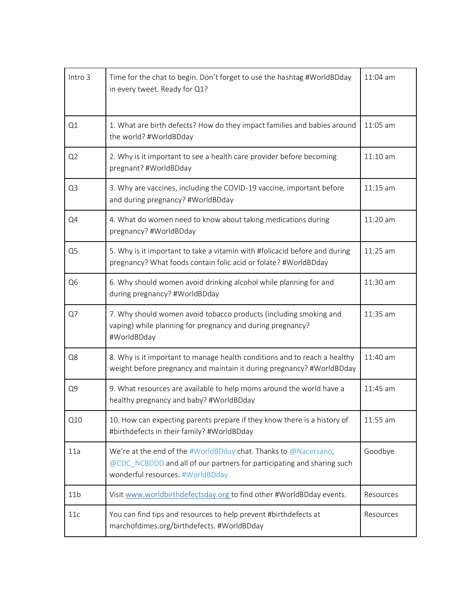| Intro 3         | Time for the chat to begin. Don't forget to use the hashtag #WorldBDday<br>in every tweet. Ready for Q1?                                                                      | $11:04$ am |
|-----------------|-------------------------------------------------------------------------------------------------------------------------------------------------------------------------------|------------|
| Q1              | 1. What are birth defects? How do they impact families and babies around<br>the world? #WorldBDday                                                                            | 11:05 am   |
| Q2              | 2. Why is it important to see a health care provider before becoming<br>pregnant? #WorldBDday                                                                                 | $11:10$ am |
| Q <sub>3</sub>  | 3. Why are vaccines, including the COVID-19 vaccine, important before<br>and during pregnancy? #WorldBDday                                                                    | $11:15$ am |
| Q4              | 4. What do women need to know about taking medications during<br>pregnancy? #WorldBDday                                                                                       | 11:20 am   |
| Q <sub>5</sub>  | 5. Why is it important to take a vitamin with #folicacid before and during<br>pregnancy? What foods contain folic acid or folate? #WorldBDday                                 | $11:25$ am |
| Q <sub>6</sub>  | 6. Why should women avoid drinking alcohol while planning for and<br>during pregnancy? #WorldBDday                                                                            | 11:30 am   |
| Q7              | 7. Why should women avoid tobacco products (including smoking and<br>vaping) while planning for pregnancy and during pregnancy?<br>#WorldBDday                                | 11:35 am   |
| Q8              | 8. Why is it important to manage health conditions and to reach a healthy<br>weight before pregnancy and maintain it during pregnancy? #WorldBDday                            | 11:40 am   |
| Q9              | 9. What resources are available to help moms around the world have a<br>healthy pregnancy and baby? #WorldBDday                                                               | 11:45 am   |
| Q10             | 10. How can expecting parents prepare if they know there is a history of<br>#birthdefects in their family? #WorldBDday                                                        | 11:55 am   |
| 11a             | We're at the end of the #WorldBDday chat. Thanks to @Nacersano,<br>@CDC_NCBDDD and all of our partners for participating and sharing such<br>wonderful resources. #WorldBDday | Goodbye    |
| 11 <sub>b</sub> | Visit www.worldbirthdefectsday.org to find other #WorldBDday events.                                                                                                          | Resources  |
| 11c             | You can find tips and resources to help prevent #birthdefects at<br>marchofdimes.org/birthdefects. #WorldBDday                                                                | Resources  |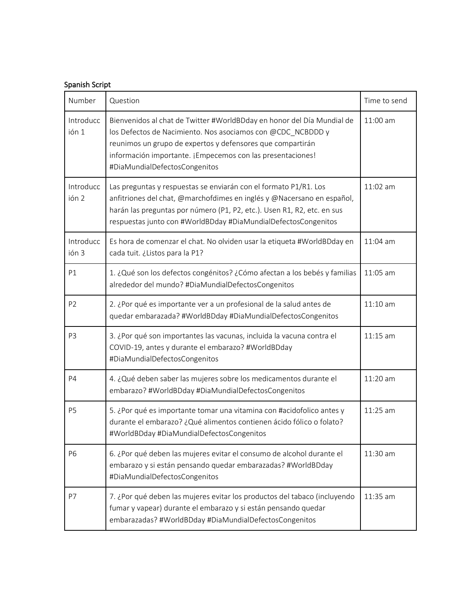| Spanish Script     |                                                                                                                                                                                                                                                                                                    |              |  |  |
|--------------------|----------------------------------------------------------------------------------------------------------------------------------------------------------------------------------------------------------------------------------------------------------------------------------------------------|--------------|--|--|
| Number             | Question                                                                                                                                                                                                                                                                                           | Time to send |  |  |
| Introducc<br>ión 1 | Bienvenidos al chat de Twitter #WorldBDday en honor del Día Mundial de<br>los Defectos de Nacimiento. Nos asociamos con @CDC_NCBDDD y<br>reunimos un grupo de expertos y defensores que compartirán<br>información importante. ¡Empecemos con las presentaciones!<br>#DiaMundialDefectosCongenitos | $11:00$ am   |  |  |
| Introducc<br>ión 2 | Las preguntas y respuestas se enviarán con el formato P1/R1. Los<br>anfitriones del chat, @marchofdimes en inglés y @Nacersano en español,<br>harán las preguntas por número (P1, P2, etc.). Usen R1, R2, etc. en sus<br>respuestas junto con #WorldBDday #DiaMundialDefectosCongenitos            | 11:02 am     |  |  |
| Introducc<br>ión 3 | Es hora de comenzar el chat. No olviden usar la etiqueta #WorldBDday en<br>cada tuit. ¿Listos para la P1?                                                                                                                                                                                          | $11:04$ am   |  |  |
| P1                 | 1. ¿Qué son los defectos congénitos? ¿Cómo afectan a los bebés y familias<br>alrededor del mundo? #DiaMundialDefectosCongenitos                                                                                                                                                                    | 11:05 am     |  |  |
| P <sub>2</sub>     | 2. ¿Por qué es importante ver a un profesional de la salud antes de<br>quedar embarazada? #WorldBDday #DiaMundialDefectosCongenitos                                                                                                                                                                | $11:10$ am   |  |  |
| P <sub>3</sub>     | 3. ¿Por qué son importantes las vacunas, incluida la vacuna contra el<br>COVID-19, antes y durante el embarazo? #WorldBDday<br>#DiaMundialDefectosCongenitos                                                                                                                                       | $11:15$ am   |  |  |
| <b>P4</b>          | 4. ¿Qué deben saber las mujeres sobre los medicamentos durante el<br>embarazo? #WorldBDday #DiaMundialDefectosCongenitos                                                                                                                                                                           | 11:20 am     |  |  |
| P <sub>5</sub>     | 5. ¿Por qué es importante tomar una vitamina con #acidofolico antes y<br>durante el embarazo? ¿Qué alimentos contienen ácido fólico o folato?<br>#WorldBDday #DiaMundialDefectosCongenitos                                                                                                         | $11:25$ am   |  |  |
| <b>P6</b>          | 6. ¿Por qué deben las mujeres evitar el consumo de alcohol durante el<br>embarazo y si están pensando quedar embarazadas? #WorldBDday<br>#DiaMundialDefectosCongenitos                                                                                                                             | $11:30$ am   |  |  |
| P7                 | 7. ¿Por qué deben las mujeres evitar los productos del tabaco (incluyendo<br>fumar y vapear) durante el embarazo y si están pensando quedar<br>embarazadas? #WorldBDday #DiaMundialDefectosCongenitos                                                                                              | 11:35 am     |  |  |